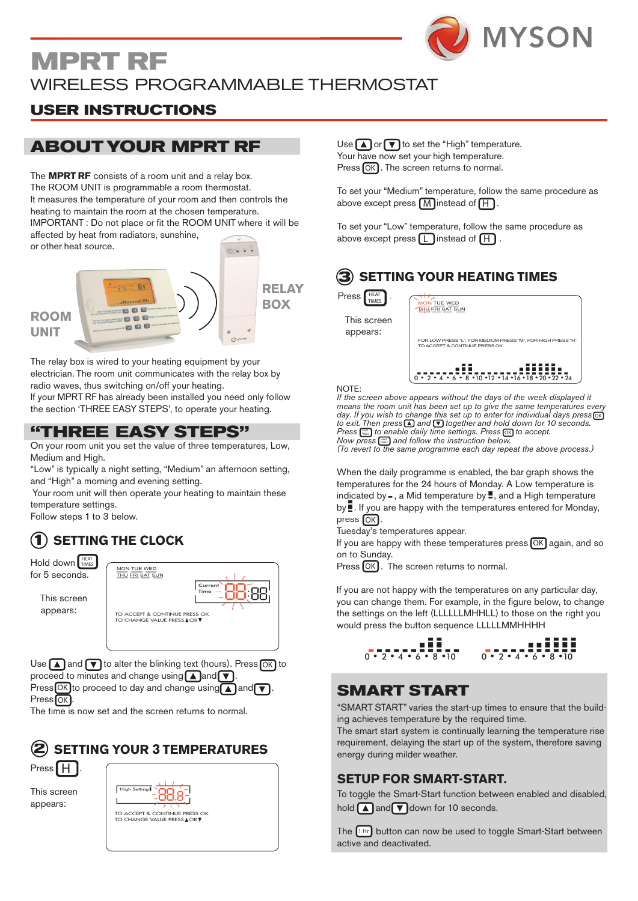

Time

### **MPRT RF** WIRELESS PROGRAMMABLE THERMOSTAT MON TUE WED

## **USER INSTRUCTIONS**

## **ABOUT YOUR MPRT RF**

The **MPRT RF** consists of a room unit and a relay box. The ROOM UNIT is programmable a room thermostat. It measures the temperature of your room and then controls the heating to maintain the room at the chosen temperature. IMPORTANT : Do not place or fit the ROOM UNIT where it will be affected by heat from radiators, sunshine, or other heat source. 



The relay box is wired to your heating equipment by your electrician. The room unit communicates with the relay box by radio waves, thus switching on/off your heating.

If your MPRT RF has already been installed you need only follow the section 'THREE EASY STEPS', to operate your heating.

### **"THREE EASY STEPS"**

On your room unit you set the value of three temperatures, Low, Medium and High.

"Low" is typically a night setting, "Medium" an afternoon setting, and "High" a morning and evening setting.

Your room unit will then operate your heating to maintain these temperature settings.

Follow steps 1 to 3 below.

#### **1 SETTING THE CLOCK**

| <b>HEAT</b><br>Hold down TIMES<br>for 5 seconds. | MON TUE WED<br>THU FRI SAT SUN                                                  |
|--------------------------------------------------|---------------------------------------------------------------------------------|
| This screen<br>appears:                          | Current<br>Time<br>TO ACCEPT & CONTINUE PRESS OK<br>TO CHANGE VAILIF PRESS A OR |

Use  $\Box$  and  $\nabla$  to alter the blinking text (hours). Press  $\overline{OK}$  to proceed to minutes and change using  $\Box$  and  $\neg$ . Use  $\Box$  and  $\Box$  to alter the blinking text (hours). Press  $\overline{OK}$  to

TIMES

proceed to minutes and change using  $\Box$  and  $\nabla$ .<br>Press OK to proceed to day and change using  $\Box$  and  $\nabla$ .  $Press[OK]$ . M Press  $\overline{\text{OK}}$  to proceed to day and change using  $\blacksquare$  and

The time is now set and the screen returns to normal.





This screen rnis scree<br>appears:

| High Setting                       |
|------------------------------------|
| TO ACCEPT & CONTINUE PRESS OK      |
| <b>TO CHANGE VALUE PRESS AOR ▼</b> |
|                                    |

#### Use  $\Box$  or  $\nabla$  to set the "High" temperature. Your have now set your high temperature. Press OK . The screen returns to normal.

THU FRI SAT SUN SAT SUN SAT SUN SAT SUN

M

OK

OFF

Time

High Setting To set your "Medium" temperature, follow the same procedure as above except press  $\boxed{\mathsf{M}}$  instead of  $\boxed{\mathsf{H}}$ .

above except press  $\Box$  instead of  $\Box$ . To set your "Low" temperature, follow the same procedure as 1 Hr

#### **3 S** SETTING YOUR HEATING TIMES

 $\mathsf{Press}\left[\begin{smallmatrix}\mathsf{HEAT}\\\mathsf{TIMES}\end{smallmatrix}\right].$ 



NOTE:  $\_$  and  $\_$ 

If the screen above appears without the days of the week displayed it *means the room unit has been set up to give the same temperatures every day. If you wish to change this set up to enter for individual days press thay.* If you wish to change this set up to enter for individual days press **[ox]**<br>to exit. Then press **△** and *S* together and hold down for 10 seconds. *Press*  $\left[\begin{smallmatrix} \frac{1}{N+1} & \cdots & \frac{1}{N+1} \\ \cdots & \cdots & \cdots & \cdots \end{smallmatrix}\right]$  *to enable daily time settings. Press*  $\boxed{\infty}$  *to accept. Now press*  $\left[\frac{HEM}{m} \right]$  and follow the instruction below. NOTE:<br>If the screen above appears without the<br>means the room unit has been set un  $\frac{1}{4}$  follow ress[≜] an OFF MAN ceu ac L peare will be any of the week displayed<br>as been set up to give the same temperatures nge this set up to enter for individual days press\ok<br>and ∇ together and hold down for 10 seconds. HEAT TIMES

(To revert to the same programme each day repeat the above process.) r ress [▒▒] and follow the instruction below.<br>ert to the same programme each day repeat t

indicated by -, a Mid temperature by **.**, and a High temperature When the daily programme is enabled, the bar graph shows the temperatures for the 24 hours of Monday. A Low temperature is by **.** If you are happy with the temperatures entered for Monday, press  $[OK]$ .

Tuesday's temperatures appear.

If you are happy with these temperatures press  $\overline{\textsf{OK}}$  again, and so on to Sunday.

 $Press$   $\overline{OK}$ . The screen returns to normal.

you can change them. For example, in the figure below, to change If you are not happy with the temperatures on any particular day, the settings on the left (LLLLLLMHHLL) to those on the right you would press the button sequence LLLLLMMHHHH

 $\begin{array}{@{}c@{\hspace{1em}}c@{\hspace{1em}}c@{\hspace{1em}}c@{\hspace{1em}}c@{\hspace{1em}}c@{\hspace{1em}}c@{\hspace{1em}}c@{\hspace{1em}}c@{\hspace{1em}}c@{\hspace{1em}}c@{\hspace{1em}}c@{\hspace{1em}}c@{\hspace{1em}}c@{\hspace{1em}}c@{\hspace{1em}}c@{\hspace{1em}}c@{\hspace{1em}}c@{\hspace{1em}}c@{\hspace{1em}}c@{\hspace{1em}}c@{\hspace{1em}}c@{\hspace{1em}}c@{\hspace{1em}}c@{\hspace{$ 

12 14 16 18 20 22 24

### 12 14 16 18 20 22 24 **SMART START**

0 2 4 6 8 10 0 2 4 6 8 10

# "SMART START" varies the start-up times to ensure that the build-

ing achieves temperature by the required time. The smart start system is continually learning the temperature rise

requirement, delaying the start up of the system, therefore saving energy during milder weather.

### **SETUP FOR SMART-START.**

1 Hr

ULTURES CONTRATT UPPER THE MILITARY OF THE MANUST TO THE START THE TOTAL THE TOTAL THE TOTAL THE TOTAL THE TO<br>To toggle the Smart-Start function between enabled and disabled, hold and  $\blacktriangledown$  down for 10 seconds.

 $\sim$ The **THP** button can now be used to toggle Smart-Start between  $\mathcal{O}(\mathcal{O}(\log n))$  and  $\mathcal{O}(\log n)$  and  $\mathcal{O}(\log n)$  and  $\mathcal{O}(\log n)$ 0 2 4 6 8 10 0 2 4 6 8 10 active and deactivated. L